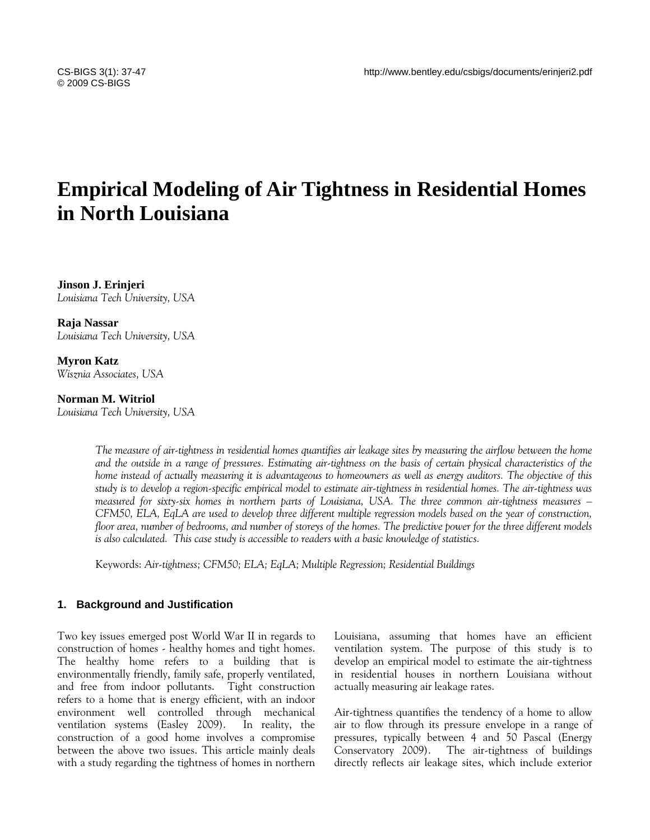# **Empirical Modeling of Air Tightness in Residential Homes in North Louisiana**

**Jinson J. Erinjeri**  *Louisiana Tech University, USA* 

**Raja Nassar**  *Louisiana Tech University, USA* 

**Myron Katz**  *Wisznia Associates, USA* 

**Norman M. Witriol** 

*Louisiana Tech University, USA* 

*The measure of air-tightness in residential homes quantifies air leakage sites by measuring the airflow between the home and the outside in a range of pressures. Estimating air-tightness on the basis of certain physical characteristics of the home instead of actually measuring it is advantageous to homeowners as well as energy auditors. The objective of this study is to develop a region-specific empirical model to estimate air-tightness in residential homes. The air-tightness was measured for sixty-six homes in northern parts of Louisiana, USA. The three common air-tightness measures – CFM50, ELA, EqLA are used to develop three different multiple regression models based on the year of construction, floor area, number of bedrooms, and number of storeys of the homes. The predictive power for the three different models is also calculated. This case study is accessible to readers with a basic knowledge of statistics.* 

Keywords: *Air-tightness; CFM50; ELA; EqLA; Multiple Regression; Residential Buildings* 

# **1. Background and Justification**

Two key issues emerged post World War II in regards to construction of homes - healthy homes and tight homes. The healthy home refers to a building that is environmentally friendly, family safe, properly ventilated, and free from indoor pollutants. Tight construction refers to a home that is energy efficient, with an indoor environment well controlled through mechanical ventilation systems (Easley 2009). In reality, the construction of a good home involves a compromise between the above two issues. This article mainly deals with a study regarding the tightness of homes in northern Louisiana, assuming that homes have an efficient ventilation system. The purpose of this study is to develop an empirical model to estimate the air-tightness in residential houses in northern Louisiana without actually measuring air leakage rates.

Air-tightness quantifies the tendency of a home to allow air to flow through its pressure envelope in a range of pressures, typically between 4 and 50 Pascal (Energy Conservatory 2009). The air-tightness of buildings directly reflects air leakage sites, which include exterior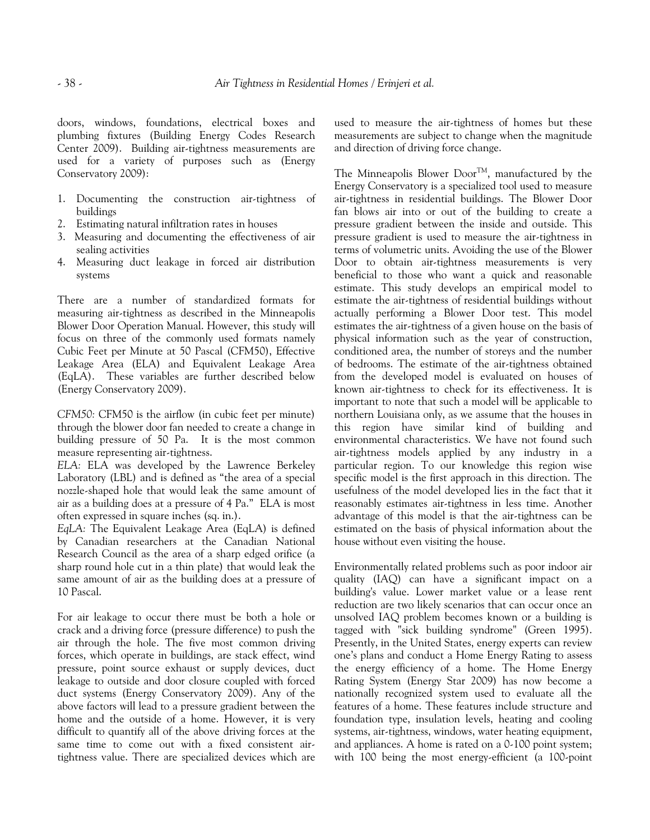doors, windows, foundations, electrical boxes and plumbing fixtures (Building Energy Codes Research Center 2009). Building air-tightness measurements are used for a variety of purposes such as (Energy Conservatory 2009):

- 1. Documenting the construction air-tightness of buildings
- 2. Estimating natural infiltration rates in houses
- 3. Measuring and documenting the effectiveness of air sealing activities
- 4. Measuring duct leakage in forced air distribution systems

There are a number of standardized formats for measuring air-tightness as described in the Minneapolis Blower Door Operation Manual. However, this study will focus on three of the commonly used formats namely Cubic Feet per Minute at 50 Pascal (CFM50), Effective Leakage Area (ELA) and Equivalent Leakage Area (EqLA). These variables are further described below (Energy Conservatory 2009).

*CFM50:* CFM50 is the airflow (in cubic feet per minute) through the blower door fan needed to create a change in building pressure of 50 Pa. It is the most common measure representing air-tightness.

*ELA:* ELA was developed by the Lawrence Berkeley Laboratory (LBL) and is defined as "the area of a special nozzle-shaped hole that would leak the same amount of air as a building does at a pressure of 4 Pa." ELA is most often expressed in square inches (sq. in.).

*EqLA:* The Equivalent Leakage Area (EqLA) is defined by Canadian researchers at the Canadian National Research Council as the area of a sharp edged orifice (a sharp round hole cut in a thin plate) that would leak the same amount of air as the building does at a pressure of 10 Pascal.

For air leakage to occur there must be both a hole or crack and a driving force (pressure difference) to push the air through the hole. The five most common driving forces, which operate in buildings, are stack effect, wind pressure, point source exhaust or supply devices, duct leakage to outside and door closure coupled with forced duct systems (Energy Conservatory 2009). Any of the above factors will lead to a pressure gradient between the home and the outside of a home. However, it is very difficult to quantify all of the above driving forces at the same time to come out with a fixed consistent airtightness value. There are specialized devices which are used to measure the air-tightness of homes but these measurements are subject to change when the magnitude and direction of driving force change.

The Minneapolis Blower Door<sup>TM</sup>, manufactured by the Energy Conservatory is a specialized tool used to measure air-tightness in residential buildings. The Blower Door fan blows air into or out of the building to create a pressure gradient between the inside and outside. This pressure gradient is used to measure the air-tightness in terms of volumetric units. Avoiding the use of the Blower Door to obtain air-tightness measurements is very beneficial to those who want a quick and reasonable estimate. This study develops an empirical model to estimate the air-tightness of residential buildings without actually performing a Blower Door test. This model estimates the air-tightness of a given house on the basis of physical information such as the year of construction, conditioned area, the number of storeys and the number of bedrooms. The estimate of the air-tightness obtained from the developed model is evaluated on houses of known air-tightness to check for its effectiveness. It is important to note that such a model will be applicable to northern Louisiana only, as we assume that the houses in this region have similar kind of building and environmental characteristics. We have not found such air-tightness models applied by any industry in a particular region. To our knowledge this region wise specific model is the first approach in this direction. The usefulness of the model developed lies in the fact that it reasonably estimates air-tightness in less time. Another advantage of this model is that the air-tightness can be estimated on the basis of physical information about the house without even visiting the house.

Environmentally related problems such as poor indoor air quality (IAQ) can have a significant impact on a building's value. Lower market value or a lease rent reduction are two likely scenarios that can occur once an unsolved IAQ problem becomes known or a building is tagged with "sick building syndrome" (Green 1995). Presently, in the United States, energy experts can review one's plans and conduct a Home Energy Rating to assess the energy efficiency of a home. The Home Energy Rating System (Energy Star 2009) has now become a nationally recognized system used to evaluate all the features of a home. These features include structure and foundation type, insulation levels, heating and cooling systems, air-tightness, windows, water heating equipment, and appliances. A home is rated on a 0-100 point system; with 100 being the most energy-efficient (a 100-point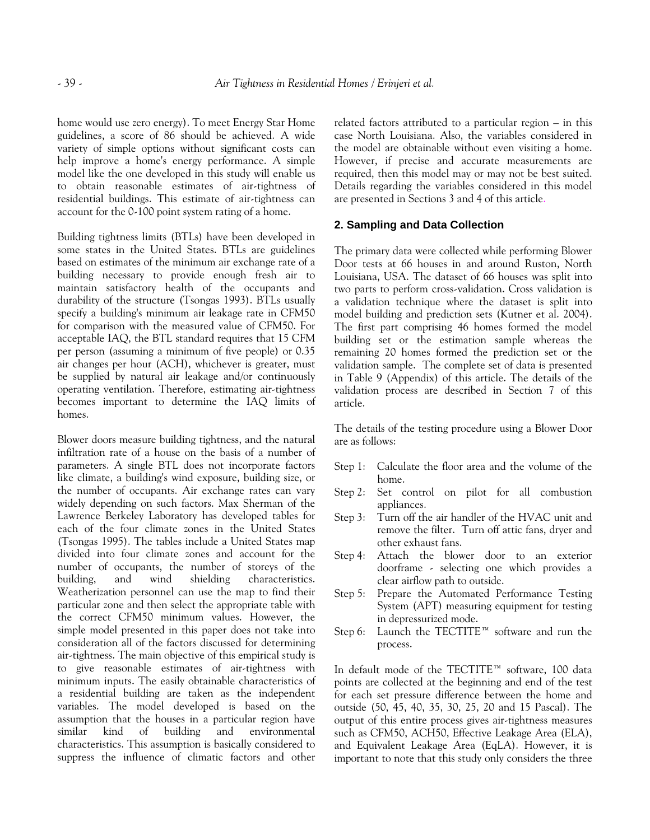home would use zero energy). To meet Energy Star Home guidelines, a score of 86 should be achieved. A wide variety of simple options without significant costs can help improve a home's energy performance. A simple model like the one developed in this study will enable us to obtain reasonable estimates of air-tightness of residential buildings. This estimate of air-tightness can account for the 0-100 point system rating of a home.

Building tightness limits (BTLs) have been developed in some states in the United States. BTLs are guidelines based on estimates of the minimum air exchange rate of a building necessary to provide enough fresh air to maintain satisfactory health of the occupants and durability of the structure (Tsongas 1993). BTLs usually specify a building's minimum air leakage rate in CFM50 for comparison with the measured value of CFM50. For acceptable IAQ, the BTL standard requires that 15 CFM per person (assuming a minimum of five people) or 0.35 air changes per hour (ACH), whichever is greater, must be supplied by natural air leakage and/or continuously operating ventilation. Therefore, estimating air-tightness becomes important to determine the IAQ limits of homes.

Blower doors measure building tightness, and the natural infiltration rate of a house on the basis of a number of parameters. A single BTL does not incorporate factors like climate, a building's wind exposure, building size, or the number of occupants. Air exchange rates can vary widely depending on such factors. Max Sherman of the Lawrence Berkeley Laboratory has developed tables for each of the four climate zones in the United States (Tsongas 1995). The tables include a United States map divided into four climate zones and account for the number of occupants, the number of storeys of the building, and wind shielding characteristics. Weatherization personnel can use the map to find their particular zone and then select the appropriate table with the correct CFM50 minimum values. However, the simple model presented in this paper does not take into consideration all of the factors discussed for determining air-tightness. The main objective of this empirical study is to give reasonable estimates of air-tightness with minimum inputs. The easily obtainable characteristics of a residential building are taken as the independent variables. The model developed is based on the assumption that the houses in a particular region have similar kind of building and environmental characteristics. This assumption is basically considered to suppress the influence of climatic factors and other related factors attributed to a particular region – in this case North Louisiana. Also, the variables considered in the model are obtainable without even visiting a home. However, if precise and accurate measurements are required, then this model may or may not be best suited. Details regarding the variables considered in this model are presented in Sections 3 and 4 of this article.

# **2. Sampling and Data Collection**

The primary data were collected while performing Blower Door tests at 66 houses in and around Ruston, North Louisiana, USA. The dataset of 66 houses was split into two parts to perform cross-validation. Cross validation is a validation technique where the dataset is split into model building and prediction sets (Kutner et al. 2004). The first part comprising 46 homes formed the model building set or the estimation sample whereas the remaining 20 homes formed the prediction set or the validation sample. The complete set of data is presented in Table 9 (Appendix) of this article. The details of the validation process are described in Section 7 of this article.

The details of the testing procedure using a Blower Door are as follows:

- Step 1: Calculate the floor area and the volume of the home.
- Step 2: Set control on pilot for all combustion appliances.
- Step 3: Turn off the air handler of the HVAC unit and remove the filter. Turn off attic fans, dryer and other exhaust fans.
- Step 4: Attach the blower door to an exterior doorframe - selecting one which provides a clear airflow path to outside.
- Step 5: Prepare the Automated Performance Testing System (APT) measuring equipment for testing in depressurized mode.
- Step 6: Launch the TECTITE™ software and run the process.

In default mode of the TECTITE™ software, 100 data points are collected at the beginning and end of the test for each set pressure difference between the home and outside (50, 45, 40, 35, 30, 25, 20 and 15 Pascal). The output of this entire process gives air-tightness measures such as CFM50, ACH50, Effective Leakage Area (ELA), and Equivalent Leakage Area (EqLA). However, it is important to note that this study only considers the three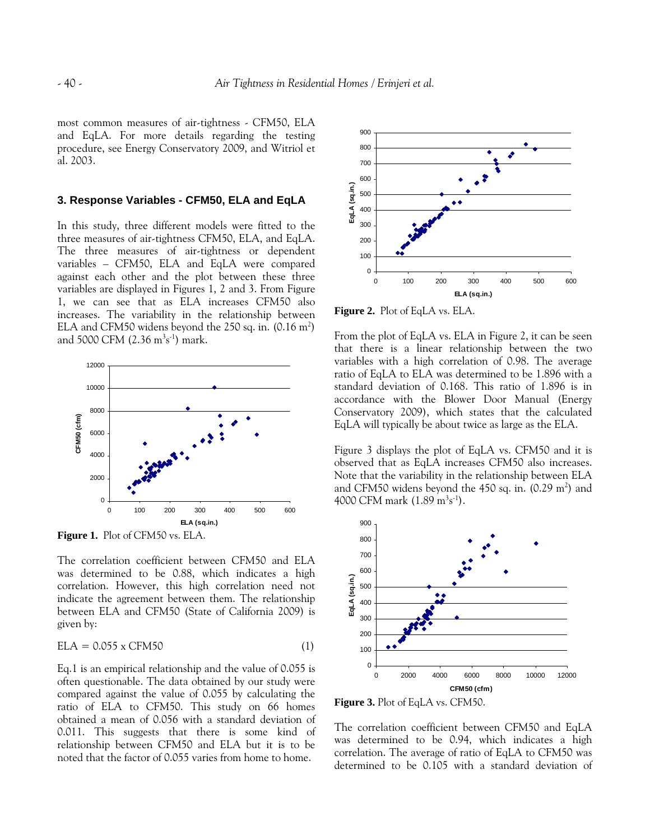most common measures of air-tightness - CFM50, ELA and EqLA. For more details regarding the testing procedure, see Energy Conservatory 2009, and Witriol et al. 2003.

# **3. Response Variables - CFM50, ELA and EqLA**

In this study, three different models were fitted to the three measures of air-tightness CFM50, ELA, and EqLA. The three measures of air-tightness or dependent variables – CFM50, ELA and EqLA were compared against each other and the plot between these three variables are displayed in Figures 1, 2 and 3. From Figure 1, we can see that as ELA increases CFM50 also increases. The variability in the relationship between ELA and CFM50 widens beyond the 250 sq. in.  $(0.16 \text{ m}^2)$ and 5000 CFM (2.36 m<sup>3</sup>s<sup>-1</sup>) mark.



**Figure 1.** Plot of CFM50 vs. ELA.

The correlation coefficient between CFM50 and ELA was determined to be 0.88, which indicates a high correlation. However, this high correlation need not indicate the agreement between them. The relationship between ELA and CFM50 (State of California 2009) is given by:

$$
ELA = 0.055 \times CFM50 \tag{1}
$$

Eq.1 is an empirical relationship and the value of 0.055 is often questionable. The data obtained by our study were compared against the value of 0.055 by calculating the ratio of ELA to CFM50. This study on 66 homes obtained a mean of 0.056 with a standard deviation of 0.011. This suggests that there is some kind of relationship between CFM50 and ELA but it is to be noted that the factor of 0.055 varies from home to home.



**Figure 2.** Plot of EqLA vs. ELA.

From the plot of EqLA vs. ELA in Figure 2, it can be seen that there is a linear relationship between the two variables with a high correlation of 0.98. The average ratio of EqLA to ELA was determined to be 1.896 with a standard deviation of 0.168. This ratio of 1.896 is in accordance with the Blower Door Manual (Energy Conservatory 2009), which states that the calculated EqLA will typically be about twice as large as the ELA.

Figure 3 displays the plot of EqLA vs. CFM50 and it is observed that as EqLA increases CFM50 also increases. Note that the variability in the relationship between ELA and CFM50 widens beyond the  $450$  sq. in.  $(0.29 \text{ m}^2)$  and 4000 CFM mark (1.89 m<sup>3</sup>s<sup>-1</sup>).



**Figure 3.** Plot of EqLA vs. CFM50.

The correlation coefficient between CFM50 and EqLA was determined to be 0.94, which indicates a high correlation. The average of ratio of EqLA to CFM50 was determined to be 0.105 with a standard deviation of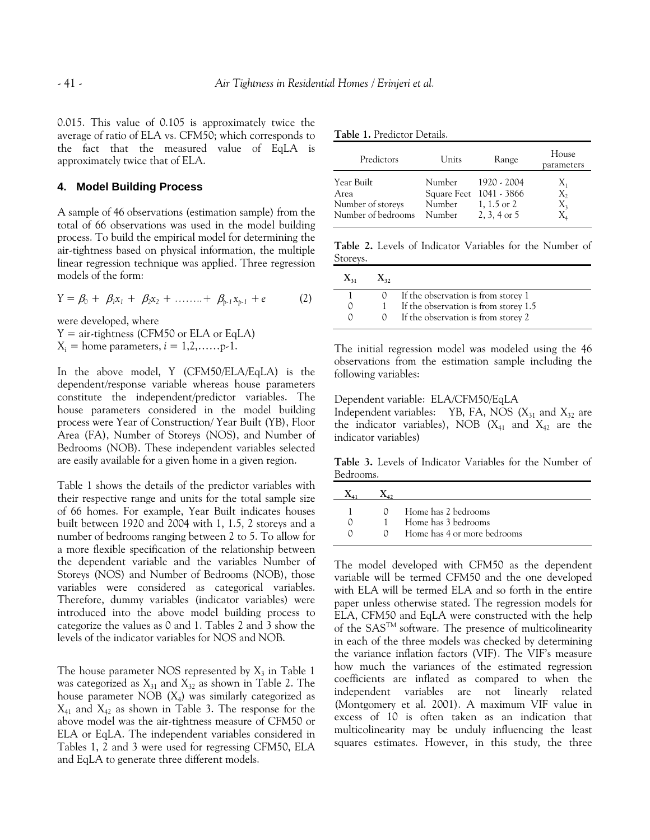0.015. This value of 0.105 is approximately twice the average of ratio of ELA vs. CFM50; which corresponds to the fact that the measured value of EqLA is approximately twice that of ELA.

#### **4. Model Building Process**

A sample of 46 observations (estimation sample) from the total of 66 observations was used in the model building process. To build the empirical model for determining the air-tightness based on physical information, the multiple linear regression technique was applied. Three regression models of the form:

$$
Y = \beta_0 + \beta_1 x_1 + \beta_2 x_2 + \dots + \beta_{p-1} x_{p-1} + e \qquad (2)
$$

were developed, where

 $Y = air-tightness$  (CFM50 or ELA or EqLA)  $X_i$  = home parameters,  $i = 1, 2, \ldots, p-1$ .

In the above model, Y (CFM50/ELA/EqLA) is the dependent/response variable whereas house parameters constitute the independent/predictor variables. The house parameters considered in the model building process were Year of Construction/ Year Built (YB), Floor Area (FA), Number of Storeys (NOS), and Number of Bedrooms (NOB). These independent variables selected are easily available for a given home in a given region.

Table 1 shows the details of the predictor variables with their respective range and units for the total sample size of 66 homes. For example, Year Built indicates houses built between 1920 and 2004 with 1, 1.5, 2 storeys and a number of bedrooms ranging between 2 to 5. To allow for a more flexible specification of the relationship between the dependent variable and the variables Number of Storeys (NOS) and Number of Bedrooms (NOB), those variables were considered as categorical variables. Therefore, dummy variables (indicator variables) were introduced into the above model building process to categorize the values as 0 and 1. Tables 2 and 3 show the levels of the indicator variables for NOS and NOB.

The house parameter NOS represented by  $X_3$  in Table 1 was categorized as  $X_{31}$  and  $X_{32}$  as shown in Table 2. The house parameter NOB  $(X_4)$  was similarly categorized as  $X_{41}$  and  $X_{42}$  as shown in Table 3. The response for the above model was the air-tightness measure of CFM50 or ELA or EqLA. The independent variables considered in Tables 1, 2 and 3 were used for regressing CFM50, ELA and EqLA to generate three different models.

**Table 1.** Predictor Details.

| Predictors                                                    | Units                                                 | Range                                        | House<br>parameters                                               |
|---------------------------------------------------------------|-------------------------------------------------------|----------------------------------------------|-------------------------------------------------------------------|
| Year Built<br>Area<br>Number of storeys<br>Number of bedrooms | Number<br>Square Feet 1041 - 3866<br>Number<br>Number | 1920 - 2004<br>1, 1.5 or 2<br>$2, 3, 4$ or 5 | $X_1$<br>$X_{2}$<br>$X_3$<br>$\mathrm{X}_{\scriptscriptstyle{A}}$ |

**Table 2.** Levels of Indicator Variables for the Number of Storeys.

|              | 0 If the observation is from storey $1$ |
|--------------|-----------------------------------------|
|              | If the observation is from storey 1.5   |
| <sup>n</sup> | If the observation is from storey 2     |

The initial regression model was modeled using the 46 observations from the estimation sample including the following variables:

Dependent variable: ELA/CFM50/EqLA Independent variables: YB, FA, NOS  $(X_{31} \text{ and } X_{32} \text{ are})$ the indicator variables), NOB ( $X_{41}$  and  $X_{42}$  are the indicator variables)

**Table 3.** Levels of Indicator Variables for the Number of Bedrooms.

|  | $\Omega$ Home has 2 bedrooms |
|--|------------------------------|
|  | Home has 3 bedrooms          |
|  | Home has 4 or more bedrooms  |

The model developed with CFM50 as the dependent variable will be termed CFM50 and the one developed with ELA will be termed ELA and so forth in the entire paper unless otherwise stated. The regression models for ELA, CFM50 and EqLA were constructed with the help of the SASTM software. The presence of multicolinearity in each of the three models was checked by determining the variance inflation factors (VIF). The VIF's measure how much the variances of the estimated regression coefficients are inflated as compared to when the independent variables are not linearly related (Montgomery et al. 2001). A maximum VIF value in excess of 10 is often taken as an indication that multicolinearity may be unduly influencing the least squares estimates. However, in this study, the three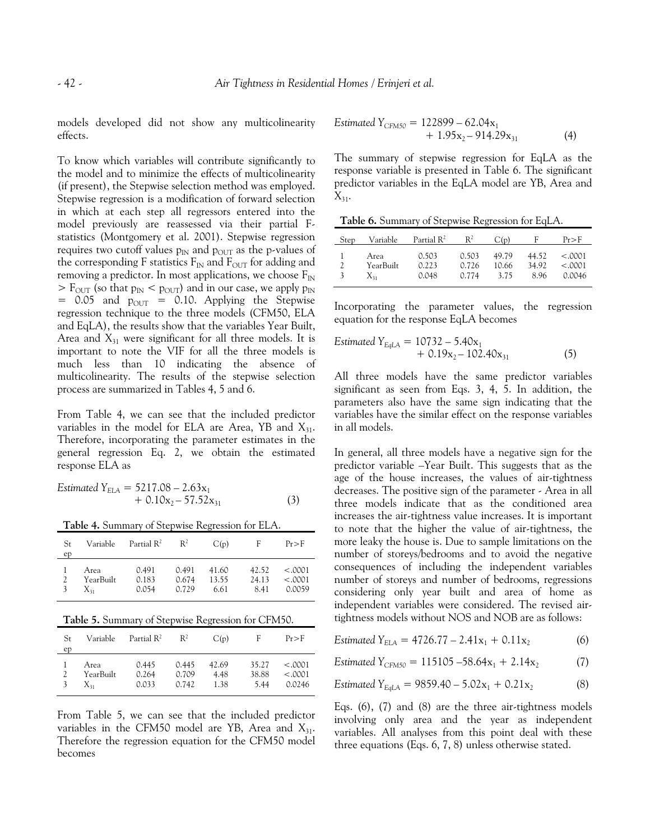models developed did not show any multicolinearity effects.

To know which variables will contribute significantly to the model and to minimize the effects of multicolinearity (if present), the Stepwise selection method was employed. Stepwise regression is a modification of forward selection in which at each step all regressors entered into the model previously are reassessed via their partial Fstatistics (Montgomery et al. 2001). Stepwise regression requires two cutoff values  $p_{IN}$  and  $p_{OUT}$  as the p-values of the corresponding F statistics  $F_{IN}$  and  $F_{OUT}$  for adding and removing a predictor. In most applications, we choose  $F_{\rm IN}$  $>$  F<sub>OUT</sub> (so that  $p_{IN}$  <  $p_{OUT}$ ) and in our case, we apply  $p_{IN}$  $= 0.05$  and  $p_{\text{OUT}} = 0.10$ . Applying the Stepwise regression technique to the three models (CFM50, ELA and EqLA), the results show that the variables Year Built, Area and  $X_{31}$  were significant for all three models. It is important to note the VIF for all the three models is much less than 10 indicating the absence of multicolinearity. The results of the stepwise selection process are summarized in Tables 4, 5 and 6.

From Table 4, we can see that the included predictor variables in the model for ELA are Area, YB and  $X_{31}$ . Therefore, incorporating the parameter estimates in the general regression Eq. 2, we obtain the estimated response ELA as

$$
Estimated YELA = 5217.08 - 2.63x1+ 0.10x2 - 57.52x31
$$
 (3)

**Table 4.** Summary of Stepwise Regression for ELA.

| St.<br>ep | Variable                      | Partial $\mathbb{R}^2$  | $R^2$                   | C(p)                   | F                      | Pr > F                       |
|-----------|-------------------------------|-------------------------|-------------------------|------------------------|------------------------|------------------------------|
| 2<br>3    | Area<br>YearBuilt<br>$X_{31}$ | 0.491<br>0.183<br>0.054 | 0.491<br>0.674<br>0.729 | 41.60<br>13.55<br>6.61 | 42.52<br>24.13<br>8.41 | < .0001<br>< .0001<br>0.0059 |

**Table 5.** Summary of Stepwise Regression for CFM50.

| St.<br>ep | Variable  | Partial $\mathbb{R}^2$ | $R^2$ | C(p)  | F     | Pr > F  |
|-----------|-----------|------------------------|-------|-------|-------|---------|
| 2         | Area      | 0.445                  | 0.445 | 42.69 | 35.27 | < .0001 |
|           | YearBuilt | 0.264                  | 0.709 | 4.48  | 38.88 | < .0001 |
|           | $X_{31}$  | 0.033                  | 0.742 | 1.38  | 5.44  | 0.0246  |

From Table 5, we can see that the included predictor variables in the CFM50 model are YB, Area and  $X_{31}$ . Therefore the regression equation for the CFM50 model becomes

$$
Estimated YCFM50 = 122899 - 62.04x1+ 1.95x2 - 914.29x31
$$
 (4)

The summary of stepwise regression for EqLA as the response variable is presented in Table 6. The significant predictor variables in the EqLA model are YB, Area and  $X_{31}$ .

**Table 6.** Summary of Stepwise Regression for EqLA.

| Step | Variable  | Partial $R^2$ | $R^2$ | C(p)  | F     | Pr>F    |
|------|-----------|---------------|-------|-------|-------|---------|
|      | Area      | 0.503         | 0.503 | 49.79 | 44.52 | < .0001 |
|      | YearBuilt | 0.223         | 0.726 | 10.66 | 34.92 | < .0001 |
|      | $X_{31}$  | 0.048         | 0.774 | 3.75  | 8.96  | 0.0046  |

Incorporating the parameter values, the regression equation for the response EqLA becomes

$$
Estimated Y_{EqLA} = 10732 - 5.40x_1 + 0.19x_2 - 102.40x_{31}
$$
 (5)

All three models have the same predictor variables significant as seen from Eqs. 3, 4, 5. In addition, the parameters also have the same sign indicating that the variables have the similar effect on the response variables in all models.

In general, all three models have a negative sign for the predictor variable –Year Built. This suggests that as the age of the house increases, the values of air-tightness decreases. The positive sign of the parameter - Area in all three models indicate that as the conditioned area increases the air-tightness value increases. It is important to note that the higher the value of air-tightness, the more leaky the house is. Due to sample limitations on the number of storeys/bedrooms and to avoid the negative consequences of including the independent variables number of storeys and number of bedrooms, regressions considering only year built and area of home as independent variables were considered. The revised airtightness models without NOS and NOB are as follows:

*Estimated*  $Y_{ELA} = 4726.77 - 2.41x_1 + 0.11x_2$  (6)

$$
Estimated Y_{CFM50} = 115105 - 58.64x_1 + 2.14x_2 \tag{7}
$$

$$
Estimated Y_{EqLA} = 9859.40 - 5.02x_1 + 0.21x_2 \tag{8}
$$

Eqs. (6), (7) and (8) are the three air-tightness models involving only area and the year as independent variables. All analyses from this point deal with these three equations (Eqs. 6, 7, 8) unless otherwise stated.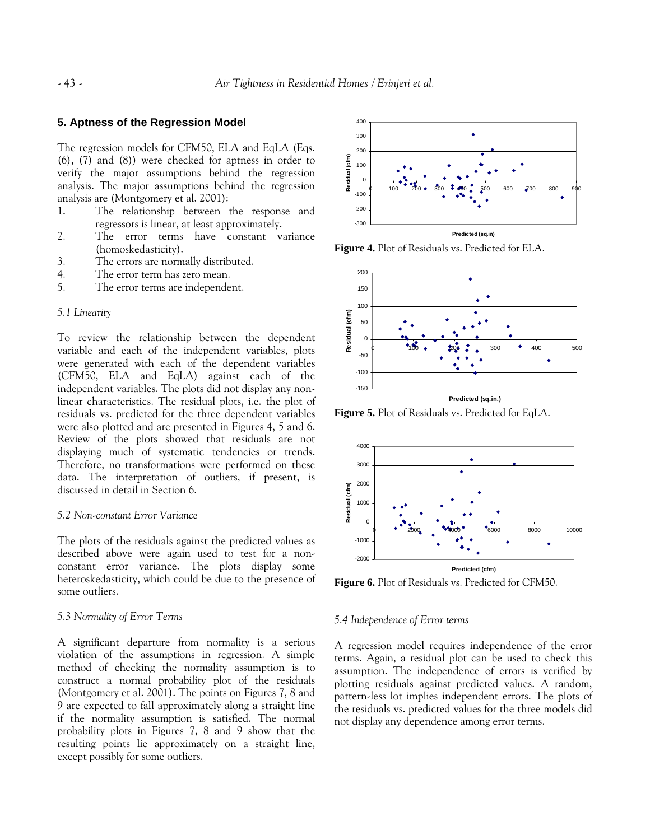#### **5. Aptness of the Regression Model**

The regression models for CFM50, ELA and EqLA (Eqs. (6), (7) and (8)) were checked for aptness in order to verify the major assumptions behind the regression analysis. The major assumptions behind the regression analysis are (Montgomery et al. 2001):

- 1. The relationship between the response and regressors is linear, at least approximately.
- 2. The error terms have constant variance (homoskedasticity).
- 3. The errors are normally distributed.
- 4. The error term has zero mean.
- 5. The error terms are independent.

#### *5.1 Linearity*

To review the relationship between the dependent variable and each of the independent variables, plots were generated with each of the dependent variables (CFM50, ELA and EqLA) against each of the independent variables. The plots did not display any nonlinear characteristics. The residual plots, i.e. the plot of residuals vs. predicted for the three dependent variables were also plotted and are presented in Figures 4, 5 and 6. Review of the plots showed that residuals are not displaying much of systematic tendencies or trends. Therefore, no transformations were performed on these data. The interpretation of outliers, if present, is discussed in detail in Section 6.

# *5.2 Non-constant Error Variance*

The plots of the residuals against the predicted values as described above were again used to test for a nonconstant error variance. The plots display some heteroskedasticity, which could be due to the presence of some outliers.

#### *5.3 Normality of Error Terms*

A significant departure from normality is a serious violation of the assumptions in regression. A simple method of checking the normality assumption is to construct a normal probability plot of the residuals (Montgomery et al. 2001). The points on Figures 7, 8 and 9 are expected to fall approximately along a straight line if the normality assumption is satisfied. The normal probability plots in Figures 7, 8 and 9 show that the resulting points lie approximately on a straight line, except possibly for some outliers.



**Figure 4.** Plot of Residuals vs. Predicted for ELA.



**Figure 5.** Plot of Residuals vs. Predicted for EqLA.



**Figure 6.** Plot of Residuals vs. Predicted for CFM50.

#### *5.4 Independence of Error terms*

A regression model requires independence of the error terms. Again, a residual plot can be used to check this assumption. The independence of errors is verified by plotting residuals against predicted values. A random, pattern-less lot implies independent errors. The plots of the residuals vs. predicted values for the three models did not display any dependence among error terms.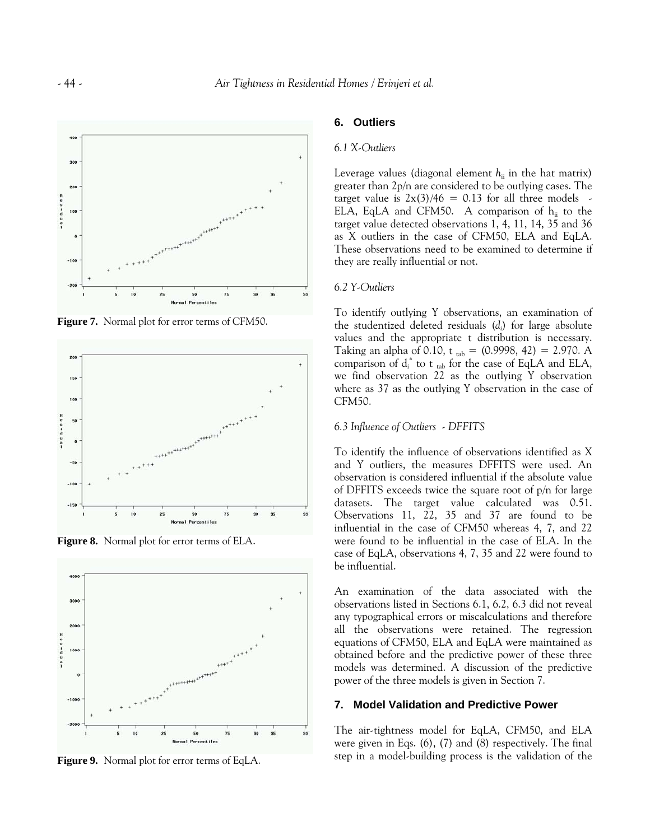

**Figure 7.** Normal plot for error terms of CFM50.



**Figure 8.** Normal plot for error terms of ELA.



**Figure 9.** Normal plot for error terms of EqLA.

# **6. Outliers**

#### *6.1 X-Outliers*

Leverage values (diagonal element  $h_{ii}$  in the hat matrix) greater than 2p/n are considered to be outlying cases. The target value is  $2x(3)/46 = 0.13$  for all three models -ELA, EqLA and CFM50. A comparison of  $h_{ii}$  to the target value detected observations 1, 4, 11, 14, 35 and 36 as X outliers in the case of CFM50, ELA and EqLA. These observations need to be examined to determine if they are really influential or not.

#### *6.2 Y-Outliers*

To identify outlying Y observations, an examination of the studentized deleted residuals (*di* ) for large absolute values and the appropriate t distribution is necessary. Taking an alpha of 0.10, t t<sub>ab</sub> =  $(0.9998, 42) = 2.970$ . A comparison of  $d_i^*$  to t <sub>tab</sub> for the case of EqLA and ELA, we find observation 22 as the outlying Y observation where as 37 as the outlying Y observation in the case of CFM50.

# *6.3 Influence of Outliers - DFFITS*

To identify the influence of observations identified as X and Y outliers, the measures DFFITS were used. An observation is considered influential if the absolute value of DFFITS exceeds twice the square root of p/n for large datasets. The target value calculated was 0.51. Observations 11, 22, 35 and 37 are found to be influential in the case of CFM50 whereas 4, 7, and 22 were found to be influential in the case of ELA. In the case of EqLA, observations 4, 7, 35 and 22 were found to be influential.

An examination of the data associated with the observations listed in Sections 6.1, 6.2, 6.3 did not reveal any typographical errors or miscalculations and therefore all the observations were retained. The regression equations of CFM50, ELA and EqLA were maintained as obtained before and the predictive power of these three models was determined. A discussion of the predictive power of the three models is given in Section 7.

#### **7. Model Validation and Predictive Power**

The air-tightness model for EqLA, CFM50, and ELA were given in Eqs. (6), (7) and (8) respectively. The final step in a model-building process is the validation of the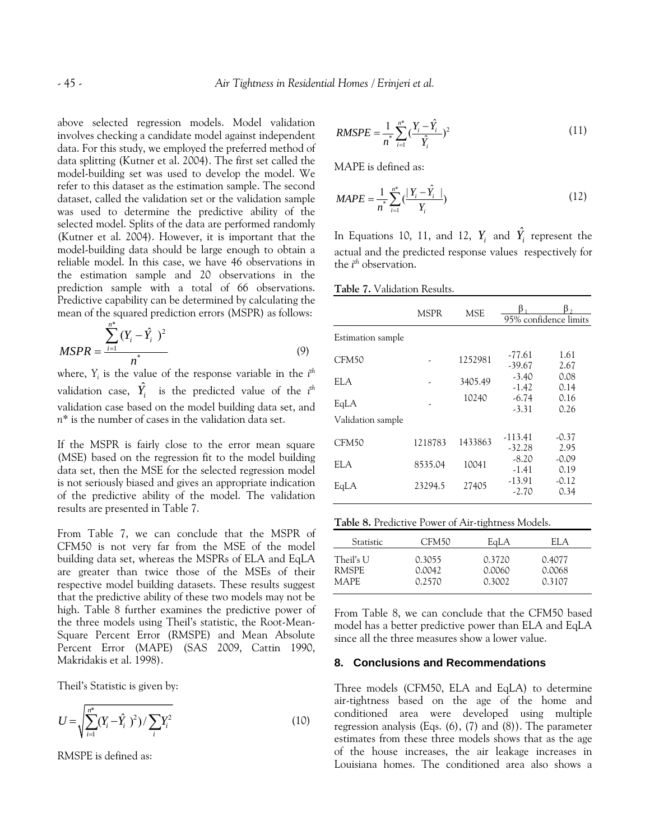above selected regression models. Model validation involves checking a candidate model against independent data. For this study, we employed the preferred method of data splitting (Kutner et al. 2004). The first set called the model-building set was used to develop the model. We refer to this dataset as the estimation sample. The second dataset, called the validation set or the validation sample was used to determine the predictive ability of the selected model. Splits of the data are performed randomly (Kutner et al. 2004). However, it is important that the model-building data should be large enough to obtain a reliable model. In this case, we have 46 observations in the estimation sample and 20 observations in the prediction sample with a total of 66 observations. Predictive capability can be determined by calculating the mean of the squared prediction errors (MSPR) as follows:

$$
MSPR = \frac{\sum_{i=1}^{n^*} (Y_i - \hat{Y}_i)^2}{n^*}
$$
 (9)

where, *Yi* is the value of the response variable in the *i th* validation case,  $\hat{Y}_i$  is the predicted value of the  $i^{th}$ validation case based on the model building data set, and *n\** is the number of cases in the validation data set.

If the MSPR is fairly close to the error mean square (MSE) based on the regression fit to the model building data set, then the MSE for the selected regression model is not seriously biased and gives an appropriate indication of the predictive ability of the model. The validation results are presented in Table 7.

From Table 7, we can conclude that the MSPR of CFM50 is not very far from the MSE of the model building data set, whereas the MSPRs of ELA and EqLA are greater than twice those of the MSEs of their respective model building datasets. These results suggest that the predictive ability of these two models may not be high. Table 8 further examines the predictive power of the three models using Theil's statistic, the Root-Mean-Square Percent Error (RMSPE) and Mean Absolute Percent Error (MAPE) (SAS 2009, Cattin 1990, Makridakis et al. 1998).

Theil's Statistic is given by:

$$
U = \sqrt{\sum_{i=1}^{n^*} (Y_i - \hat{Y}_i)^2 / \sum_i Y_i^2}
$$
 (10)

RMSPE is defined as:

RMSPE = 
$$
\frac{1}{n^*} \sum_{i=1}^{n^*} \left(\frac{Y_i - \hat{Y}_i}{\hat{Y}_i}\right)^2
$$
 (11)

MAPE is defined as:

$$
MAPE = \frac{1}{n^*} \sum_{i=1}^{n^*} \left( \frac{|Y_i - \hat{Y}_i|}{Y_i} \right)
$$
 (12)

In Equations 10, 11, and 12,  $Y_i$  and  $\hat{Y}_i$  represent the actual and the predicted response values respectively for the *i th* observation.

**Table 7.** Validation Results.

|                           | MSPR    | <b>MSE</b> |                       | 95% confidence limits |
|---------------------------|---------|------------|-----------------------|-----------------------|
| Estimation sample         |         |            |                       |                       |
| CFM <sub>50</sub>         |         | 1252981    | -77.61<br>$-39.67$    | 1.61<br>2.67          |
| ELA                       | ٠       | 3405.49    | $-3.40$<br>$-1.42$    | 0.08<br>0.14          |
| EqLA<br>Validation sample | ٠       | 10240      | $-6.74$<br>$-3.31$    | 0.16<br>0.26          |
| CFM50                     | 1218783 | 1433863    | $-113.41$<br>$-32.28$ | -0.37<br>2.95         |
| ELA.                      | 8535.04 | 10041      | $-8.20$<br>$-1.41$    | $-0.09$<br>0.19       |
| EqLA                      | 23294.5 | 27405      | $-13.91$<br>$-2.70$   | $-0.12$<br>0.34       |

**Table 8.** Predictive Power of Air-tightness Models.

| <b>Statistic</b> | CFM <sub>50</sub> | EaLA   | ELA    |
|------------------|-------------------|--------|--------|
| Theil's U        | 0.3055            | 0.3720 | 0.4077 |
| RMSPE            | 0.0042            | 0.0060 | 0.0068 |
| MAPE.            | 0.2570            | 0.3002 | 0.3107 |

From Table 8, we can conclude that the CFM50 based model has a better predictive power than ELA and EqLA since all the three measures show a lower value.

#### **8. Conclusions and Recommendations**

Three models (CFM50, ELA and EqLA) to determine air-tightness based on the age of the home and conditioned area were developed using multiple regression analysis (Eqs. (6), (7) and (8)). The parameter estimates from these three models shows that as the age of the house increases, the air leakage increases in Louisiana homes. The conditioned area also shows a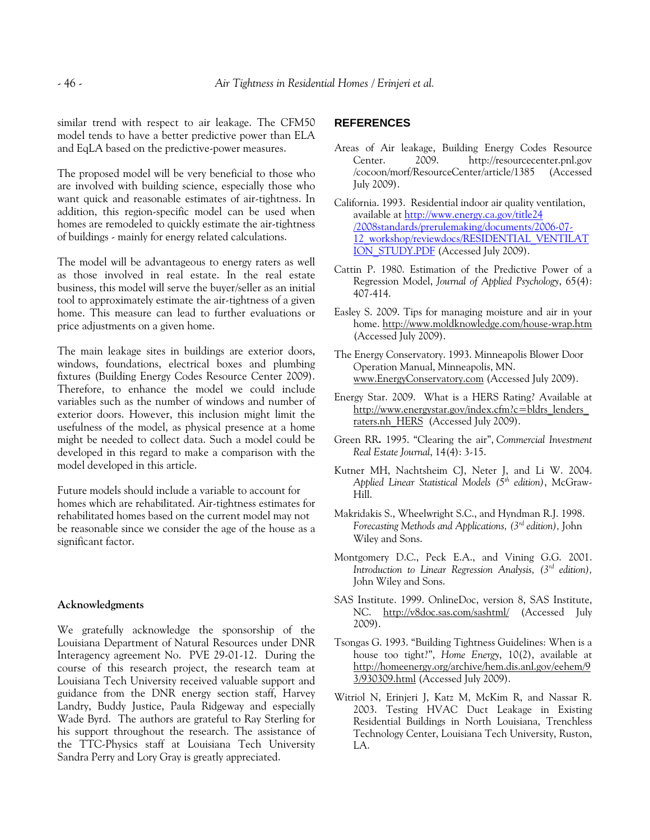similar trend with respect to air leakage. The CFM50 model tends to have a better predictive power than ELA and EqLA based on the predictive-power measures.

The proposed model will be very beneficial to those who are involved with building science, especially those who want quick and reasonable estimates of air-tightness. In addition, this region-specific model can be used when homes are remodeled to quickly estimate the air-tightness of buildings - mainly for energy related calculations.

The model will be advantageous to energy raters as well as those involved in real estate. In the real estate business, this model will serve the buyer/seller as an initial tool to approximately estimate the air-tightness of a given home. This measure can lead to further evaluations or price adjustments on a given home.

The main leakage sites in buildings are exterior doors, windows, foundations, electrical boxes and plumbing fixtures (Building Energy Codes Resource Center 2009). Therefore, to enhance the model we could include variables such as the number of windows and number of exterior doors. However, this inclusion might limit the usefulness of the model, as physical presence at a home might be needed to collect data. Such a model could be developed in this regard to make a comparison with the model developed in this article.

Future models should include a variable to account for homes which are rehabilitated. Air-tightness estimates for rehabilitated homes based on the current model may not be reasonable since we consider the age of the house as a significant factor.

#### **Acknowledgments**

We gratefully acknowledge the sponsorship of the Louisiana Department of Natural Resources under DNR Interagency agreement No. PVE 29-01-12. During the course of this research project, the research team at Louisiana Tech University received valuable support and guidance from the DNR energy section staff, Harvey Landry, Buddy Justice, Paula Ridgeway and especially Wade Byrd. The authors are grateful to Ray Sterling for his support throughout the research. The assistance of the TTC-Physics staff at Louisiana Tech University Sandra Perry and Lory Gray is greatly appreciated.

# **REFERENCES**

- Areas of Air leakage, Building Energy Codes Resource Center. 2009. http://resourcecenter.pnl.gov /cocoon/morf/ResourceCenter/article/1385 (Accessed July 2009).
- California. 1993. Residential indoor air quality ventilation, available at [http://www.energy.ca.gov/title24](http://www.energy.ca.gov/title24%20/2008standards/prerulemaking/documents/2006-07-12_workshop/reviewdocs/RESIDENTIAL_VENTILATION_STUDY.PDF)  [/2008standards/prerulemaking/documents/2006-07-](http://www.energy.ca.gov/title24%20/2008standards/prerulemaking/documents/2006-07-12_workshop/reviewdocs/RESIDENTIAL_VENTILATION_STUDY.PDF) [12\\_workshop/reviewdocs/RESIDENTIAL\\_VENTILAT](http://www.energy.ca.gov/title24%20/2008standards/prerulemaking/documents/2006-07-12_workshop/reviewdocs/RESIDENTIAL_VENTILATION_STUDY.PDF) [ION\\_STUDY.PDF](http://www.energy.ca.gov/title24%20/2008standards/prerulemaking/documents/2006-07-12_workshop/reviewdocs/RESIDENTIAL_VENTILATION_STUDY.PDF) (Accessed July 2009).
- Cattin P. 1980. Estimation of the Predictive Power of a Regression Model, *Journal of Applied Psychology*, 65(4): 407-414.
- Easley S. 2009. Tips for managing moisture and air in your home.<http://www.moldknowledge.com/house-wrap.htm> (Accessed July 2009).
- The Energy Conservatory. 1993. Minneapolis Blower Door Operation Manual, Minneapolis, MN. [www.EnergyConservatory.com](http://www.energyconservatory.com/) (Accessed July 2009).
- Energy Star. 2009. What is a HERS Rating? Available at [http://www.energystar.gov/index.cfm?c=bldrs\\_lenders\\_](http://www.energystar.gov/index.cfm?c=bldrs_lenders_raters.nh_HERS) [raters.nh\\_HERS](http://www.energystar.gov/index.cfm?c=bldrs_lenders_raters.nh_HERS) (Accessed July 2009).
- [Green RR](javascript:void(0);)**.** 1995. "Clearing the air", *[Commercial Investment](http://proquest.umi.com/pqdweb?RQT=318&pmid=14752&TS=1131727157&clientId=18355&VType=PQD&VName=PQD&VInst=PROD)  [Real Estate Journal](http://proquest.umi.com/pqdweb?RQT=318&pmid=14752&TS=1131727157&clientId=18355&VType=PQD&VName=PQD&VInst=PROD)*, 14(4): 3-15.
- [Kutner](http://www.amazon.com/exec/obidos/search-handle-url/index=books&field-author-exact=Michael%20H%20Kutner&rank=-relevance%2C%2Bavailability%2C-daterank/002-8546965-5752032) MH, [Nachtsheim](http://www.amazon.com/exec/obidos/search-handle-url/index=books&field-author-exact=Christopher%20J.%20Nachtsheim&rank=-relevance%2C%2Bavailability%2C-daterank/002-8546965-5752032) CJ, [Neter](http://www.amazon.com/exec/obidos/search-handle-url/index=books&field-author-exact=John%20%20Neter&rank=-relevance%2C%2Bavailability%2C-daterank/002-8546965-5752032) J, and [Li](http://www.amazon.com/exec/obidos/search-handle-url/index=books&field-author-exact=William%20%20Li&rank=-relevance%2C%2Bavailability%2C-daterank/002-8546965-5752032) W. 2004. *Applied Linear Statistical Models (5th edition)*, McGraw-Hill.
- Makridakis S., Wheelwright S.C., and Hyndman R.J. 1998. *Forecasting Methods and Applications, (3rd edition),* John Wiley and Sons.
- Montgomery D.C., Peck E.A., and Vining G.G. 2001. *Introduction to Linear Regression Analysis, (3rd edition),* John Wiley and Sons.
- SAS Institute. 1999. OnlineDoc, version 8, SAS Institute, NC. <http://v8doc.sas.com/sashtml/>(Accessed July 2009).
- Tsongas G. 1993. "Building Tightness Guidelines: When is a house too tight?", *Home Energy*, 10(2), available at [http://homeenergy.org/archive/hem.dis.anl.gov/eehem/9](http://homeenergy.org/archive/hem.dis.anl.gov/eehem/93/930309.html) [3/930309.html](http://homeenergy.org/archive/hem.dis.anl.gov/eehem/93/930309.html) (Accessed July 2009).
- Witriol N, Erinjeri J, Katz M, McKim R, and Nassar R. 2003. Testing HVAC Duct Leakage in Existing Residential Buildings in North Louisiana, Trenchless Technology Center, Louisiana Tech University, Ruston, LA.